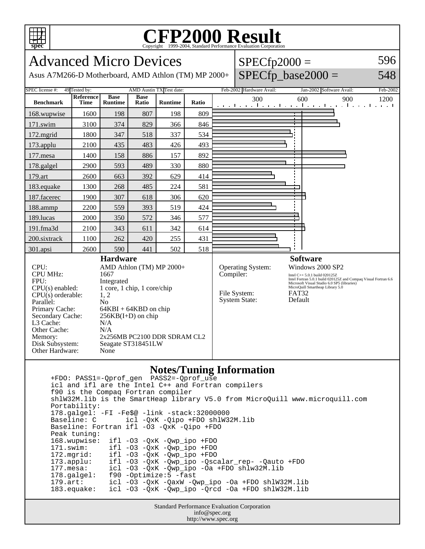

## Copyright ©1999-2004, Standard Performance Evaluation Corporation

| spec<br>Copyright ©1999-2004, Standard Performance Evaluation Corporation                                                                                                                                                                                                                                                                                                                                                                                                 |                          |                        |                      |                |       |           |                                                                  |                                                                                                                                                                                                                                                |      |
|---------------------------------------------------------------------------------------------------------------------------------------------------------------------------------------------------------------------------------------------------------------------------------------------------------------------------------------------------------------------------------------------------------------------------------------------------------------------------|--------------------------|------------------------|----------------------|----------------|-------|-----------|------------------------------------------------------------------|------------------------------------------------------------------------------------------------------------------------------------------------------------------------------------------------------------------------------------------------|------|
| 596<br><b>Advanced Micro Devices</b><br>$SPECfp2000 =$<br>$SPECfp\_base2000 =$<br>548<br>Asus A7M266-D Motherboard, AMD Athlon (TM) MP 2000+                                                                                                                                                                                                                                                                                                                              |                          |                        |                      |                |       |           |                                                                  |                                                                                                                                                                                                                                                |      |
| AMD Austin TX Test date:<br>49 Tested by:<br>Feb-2002 Hardware Avail:<br>SPEC license #:<br>Jan-2002 Software Avail:<br>Feb-2002                                                                                                                                                                                                                                                                                                                                          |                          |                        |                      |                |       |           |                                                                  |                                                                                                                                                                                                                                                |      |
| <b>Benchmark</b>                                                                                                                                                                                                                                                                                                                                                                                                                                                          | Reference<br><b>Time</b> | <b>Base</b><br>Runtime | <b>Base</b><br>Ratio | <b>Runtime</b> | Ratio |           | 300                                                              | 600<br>900<br>المتعملة وبالمتعمل والمتعمل والمتعمل والمتعمل والمتعمل                                                                                                                                                                           | 1200 |
| 168.wupwise                                                                                                                                                                                                                                                                                                                                                                                                                                                               | 1600                     | 198                    | 807                  | 198            | 809   |           |                                                                  |                                                                                                                                                                                                                                                |      |
| 171.swim                                                                                                                                                                                                                                                                                                                                                                                                                                                                  | 3100                     | 374                    | 829                  | 366            | 846   |           |                                                                  |                                                                                                                                                                                                                                                |      |
| 172.mgrid                                                                                                                                                                                                                                                                                                                                                                                                                                                                 | 1800                     | 347                    | 518                  | 337            | 534   |           |                                                                  |                                                                                                                                                                                                                                                |      |
| 173.applu                                                                                                                                                                                                                                                                                                                                                                                                                                                                 | 2100                     | 435                    | 483                  | 426            | 493   |           |                                                                  |                                                                                                                                                                                                                                                |      |
| 177.mesa                                                                                                                                                                                                                                                                                                                                                                                                                                                                  | 1400                     | 158                    | 886                  | 157            | 892   |           |                                                                  |                                                                                                                                                                                                                                                |      |
| 178.galgel                                                                                                                                                                                                                                                                                                                                                                                                                                                                | 2900                     | 593                    | 489                  | 330            | 880   |           |                                                                  |                                                                                                                                                                                                                                                |      |
| 179.art                                                                                                                                                                                                                                                                                                                                                                                                                                                                   | 2600                     | 663                    | 392                  | 629            | 414   |           |                                                                  |                                                                                                                                                                                                                                                |      |
| 183.equake                                                                                                                                                                                                                                                                                                                                                                                                                                                                | 1300                     | 268                    | 485                  | 224            | 581   |           |                                                                  |                                                                                                                                                                                                                                                |      |
| 187.facerec                                                                                                                                                                                                                                                                                                                                                                                                                                                               | 1900                     | 307                    | 618                  | 306            | 620   |           |                                                                  |                                                                                                                                                                                                                                                |      |
| 188.ammp                                                                                                                                                                                                                                                                                                                                                                                                                                                                  | 2200                     | 559                    | 393                  | 519            | 424   |           |                                                                  |                                                                                                                                                                                                                                                |      |
| 189.lucas                                                                                                                                                                                                                                                                                                                                                                                                                                                                 | 2000                     | 350                    | 572                  | 346            | 577   |           |                                                                  |                                                                                                                                                                                                                                                |      |
| 191.fma3d                                                                                                                                                                                                                                                                                                                                                                                                                                                                 | 2100                     | 343                    | 611                  | 342            | 614   |           |                                                                  |                                                                                                                                                                                                                                                |      |
| 200.sixtrack                                                                                                                                                                                                                                                                                                                                                                                                                                                              | 1100                     | 262                    | 420                  | 255            | 431   |           |                                                                  |                                                                                                                                                                                                                                                |      |
| 301.apsi                                                                                                                                                                                                                                                                                                                                                                                                                                                                  | 2600                     | 590                    | 441                  | 502            | 518   |           |                                                                  |                                                                                                                                                                                                                                                |      |
| <b>Hardware</b><br>CPU:<br>AMD Athlon (TM) MP 2000+<br><b>CPU MHz:</b><br>1667<br>FPU:<br>Integrated<br>1 core, 1 chip, 1 core/chip<br>$CPU(s)$ enabled:<br>1, 2<br>$CPU(s)$ orderable:<br>Parallel:<br>N <sub>o</sub><br>Primary Cache:<br>$64KBI + 64KBD$ on chip<br>Secondary Cache:<br>$256KB(I+D)$ on chip<br>L3 Cache:<br>N/A<br>Other Cache:<br>N/A<br>2x256MB PC2100 DDR SDRAM CL2<br>Memory:<br>Disk Subsystem:<br>Seagate ST318451LW<br>Other Hardware:<br>None |                          |                        |                      |                |       | Compiler: | <b>Operating System:</b><br>File System:<br><b>System State:</b> | <b>Software</b><br>Windows 2000 SP2<br>Intel C++ 5.0.1 build 020125Z<br>Intel Fortran 5.0.1 build 020125Z and Compaq Visual Fortran 6.6<br>Microsoft Visual Studio 6.0 SP5 (libraries)<br>MicroQuill Smartheap Library 5.0<br>FAT32<br>Default |      |
| <b>Notes/Tuning Information</b><br>icl and ifl are the Intel C++ and Fortran compilers<br>f90 is the Compaq Fortran compiler<br>shlW32M.lib is the SmartHeap library V5.0 from MicroQuill www.microquill.com<br>Portability:<br>178.galgel: -FI -Fe\$@ -link -stack:32000000<br>Baseline: C<br>icl -QxK -Qipo +FDO shlW32M.lib                                                                                                                                            |                          |                        |                      |                |       |           |                                                                  |                                                                                                                                                                                                                                                |      |

Standard Performance Evaluation Corporation info@spec.org http://www.spec.org

Baseline: Fortran ifl -O3 -QxK -Qipo +FDO

168.wupwise: ifl -O3 -QxK -Qwp\_ipo +FDO<br>171.swim: ifl -O3 -QxK -Qwp\_ipo +FDO 171.swim: ifl -O3 -QxK -Qwp\_ipo +FDO<br>172.mgrid: ifl -O3 -QxK -Qwp\_ipo +FDO 172.mgrid: ifl -03 -QxK -Qwp\_ipo +FDO<br>173.applu: ifl -03 -QxK -Qwp\_ipo -Qsc

178.galgel: f90 -Optimize:5 -fast

 173.applu: ifl -O3 -QxK -Qwp\_ipo -Qscalar\_rep- -Qauto +FDO 177.mesa: icl -O3 -QxK -Qwp\_ipo -Oa +FDO shlw32M.lib

 179.art: icl -O3 -QxK -QaxW -Qwp\_ipo -Oa +FDO shlW32M.lib 183.equake: icl -O3 -QxK -Qwp\_ipo -Qrcd -Oa +FDO shlW32M.lib

Peak tuning: